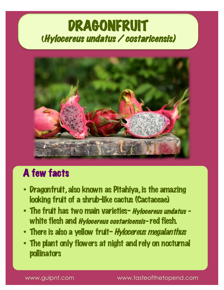# **DRAGONFRUIT<br>(Hylocereus undatus / costaricensis)**



## A few facts

- Dragonfruit, also known as Pitahiya, is the amazing looking fruit of a shrub-like cactus (Cactaceae)
- The fruit has two main varieties- Hylocereus undatus white flesh and *Hylocereus costaricensis-* red flesh.
- There is also a yellow fruit-Hylocereus megalanthus
- The plant only flowers at night and rely on nocturnal pollinators